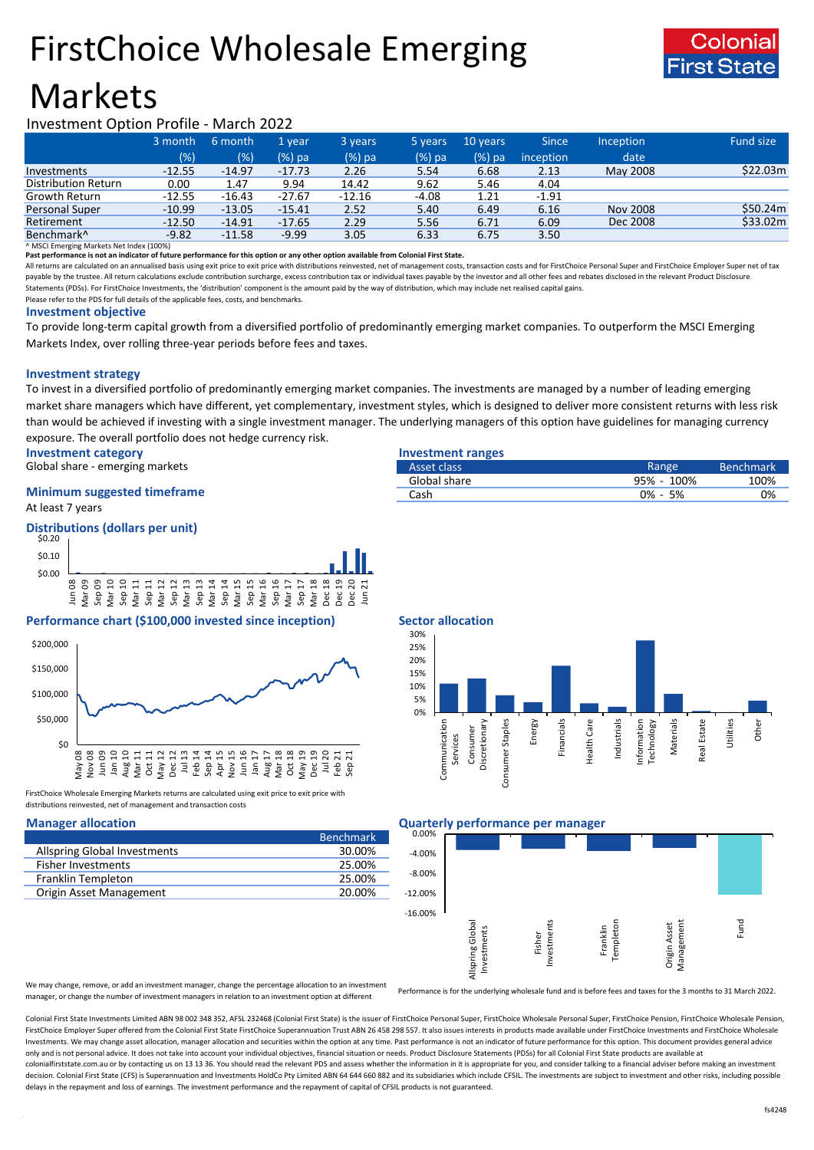# FirstChoice Wholesale Emerging





## Investment Option Profile - March 2022

|                        | 3 month  | 6 month  | 1 vear   | 3 years  | 5 years | 10 years | <b>Since</b>     | <b>Inception</b> | <b>Fund size</b> |
|------------------------|----------|----------|----------|----------|---------|----------|------------------|------------------|------------------|
|                        | (% )     | (%)      | $(%)$ pa | (%) pa   | (%) pa  | (%) pa   | <i>inception</i> | date             |                  |
| Investments            | $-12.55$ | $-14.97$ | $-17.73$ | 2.26     | 5.54    | 6.68     | 2.13             | May 2008         | \$22.03m         |
| Distribution Return    | 0.00     | 1.47     | 9.94     | 14.42    | 9.62    | 5.46     | 4.04             |                  |                  |
| Growth Return          | $-12.55$ | $-16.43$ | $-27.67$ | $-12.16$ | $-4.08$ | 1.21     | $-1.91$          |                  |                  |
| Personal Super         | $-10.99$ | $-13.05$ | $-15.41$ | 2.52     | 5.40    | 6.49     | 6.16             | <b>Nov 2008</b>  | \$50.24m         |
| Retirement             | $-12.50$ | $-14.91$ | $-17.65$ | 2.29     | 5.56    | 6.71     | 6.09             | Dec 2008         | \$33.02m         |
| Benchmark <sup>^</sup> | $-9.82$  | $-11.58$ | $-9.99$  | 3.05     | 6.33    | 6.75     | 3.50             |                  |                  |

^ MSCI Emerging Markets Net Index (100%)

**Past performance is not an indicator of future performance for this option or any other option available from Colonial First State.**

All returns are calculated on an annualised basis using exit price to exit price with distributions reinvested, net of management costs, transaction costs and for FirstChoice Personal Super and FirstChoice Employer Super n payable by the trustee. All return calculations exclude contribution surcharge, excess contribution tax or individual taxes payable by the investor and all other fees and rebates disclosed in the relevant Product Disclosur Statements (PDSs). For FirstChoice Investments, the 'distribution' component is the amount paid by the way of distribution, which may include net realised capital gains.

Please refer to the PDS for full details of the applicable fees, costs, and benchmarks.

### **Investment objective**

To provide long-term capital growth from a diversified portfolio of predominantly emerging market companies. To outperform the MSCI Emerging Markets Index, over rolling three-year periods before fees and taxes.

## **Investment strategy**

To invest in a diversified portfolio of predominantly emerging market companies. The investments are managed by a number of leading emerging market share managers which have different, yet complementary, investment styles, which is designed to deliver more consistent returns with less risk than would be achieved if investing with a single investment manager. The underlying managers of this option have guidelines for managing currency exposure. The overall portfolio does not hedge currency risk.

**Investment category Investment ranges**

Global share - emerging markets

## At least 7 years **Minimum suggested timeframe**



## **Performance chart (\$100,000 invested since inception)** Sector allocation



FirstChoice Wholesale Emerging Markets returns are calculated using exit price to exit price with distributions reinvested, net of management and transaction costs

| <b>Benchmark</b> |
|------------------|
| 30.00%           |
| 25.00%           |
| 25.00%           |
| 20.00%           |
|                  |

Services Consumer

| Asset class  | Range       | <b>Benchmark</b> |
|--------------|-------------|------------------|
| Global share | 95% - 100%  | 100%             |
| Cash         | $0\% - 5\%$ | 0%               |



### 0% 5% Discretionary Energy Financials Health Care Industrials Information echnology Materials **Real Estate**



We may change, remove, or add an investment manager, change the percentage allocation to an investment manager, or change the number of investment managers in relation to an investment option at different

Performance is for the underlying wholesale fund and is before fees and taxes for the 3 months to 31 March 2022.

Colonial First State Investments Limited ABN 98 002 348 352, AFSL 232468 (Colonial First State) is the issuer of FirstChoice Personal Super, FirstChoice Wholesale Personal Super, FirstChoice Personal Super, FirstChoice Who FirstChoice Employer Super offered from the Colonial First State FirstChoice Superannuation Trust ABN 26 458 298 557. It also issues interests in products made available under FirstChoice Investments and FirstChoice Wholes Investments. We may change asset allocation, manager allocation and securities within the option at any time. Past performance is not an indicator of future performance for this option. This document provides general advic only and is not personal advice. It does not take into account your individual objectives, financial situation or needs. Product Disclosure Statements (PDSs) for all Colonial First State products are available at colonialfirststate.com.au or by contacting us on 13 13 36. You should read the relevant PDS and assess whether the information in it is appropriate for you, and consider talking to a financial adviser before making an inve decision. Colonial First State (CFS) is Superannuation and Investments HoldCo Pty Limited ABN 64 644 660 882 and its subsidiaries which include CFSIL. The investments are subject to investment and other risks, including po delays in the repayment and loss of earnings. The investment performance and the repayment of capital of CFSIL products is not guaranteed.

Utilities

Other